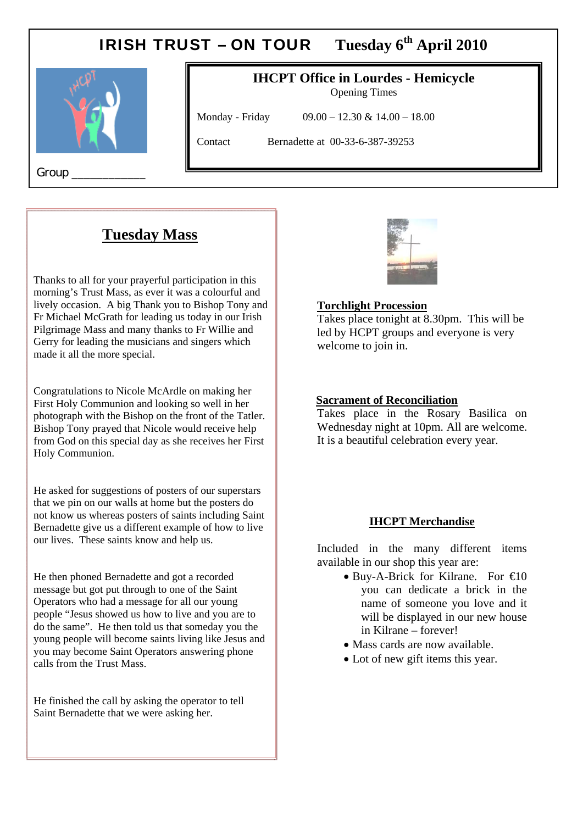# IRISH TRUST – ON TOUR **Tuesday 6th April 2010**



# **IHCPT Office in Lourdes - Hemicycle**

Opening Times

Monday - Friday 09.00 – 12.30 & 14.00 – 18.00

Contact Bernadette at 00-33-6-387-39253

Group \_\_\_\_\_\_\_\_\_\_\_\_

# **Tuesday Mass**

 $\mathbf{r}$ 

Thanks to all for your prayerful participation in this morning's Trust Mass, as ever it was a colourful and lively occasion. A big Thank you to Bishop Tony and Fr Michael McGrath for leading us today in our Irish Pilgrimage Mass and many thanks to Fr Willie and Gerry for leading the musicians and singers which made it all the more special.

Congratulations to Nicole McArdle on making her First Holy Communion and looking so well in her photograph with the Bishop on the front of the Tatler. Bishop Tony prayed that Nicole would receive help from God on this special day as she receives her First Holy Communion.

He asked for suggestions of posters of our superstars that we pin on our walls at home but the posters do not know us whereas posters of saints including Saint Bernadette give us a different example of how to live our lives. These saints know and help us.

He then phoned Bernadette and got a recorded message but got put through to one of the Saint Operators who had a message for all our young people "Jesus showed us how to live and you are to do the same". He then told us that someday you the young people will become saints living like Jesus and you may become Saint Operators answering phone calls from the Trust Mass.

He finished the call by asking the operator to tell Saint Bernadette that we were asking her.



### **Torchlight Procession**

Takes place tonight at 8.30pm. This will be led by HCPT groups and everyone is very welcome to join in.

#### **Sacrament of Reconciliation**

Takes place in the Rosary Basilica on Wednesday night at 10pm. All are welcome. It is a beautiful celebration every year.

#### **IHCPT Merchandise**

Included in the many different items available in our shop this year are:

- $\bullet$  Buy-A-Brick for Kilrane. For  $\epsilon$ 10 you can dedicate a brick in the name of someone you love and it will be displayed in our new house in Kilrane – forever!
- Mass cards are now available.
- Lot of new gift items this year.